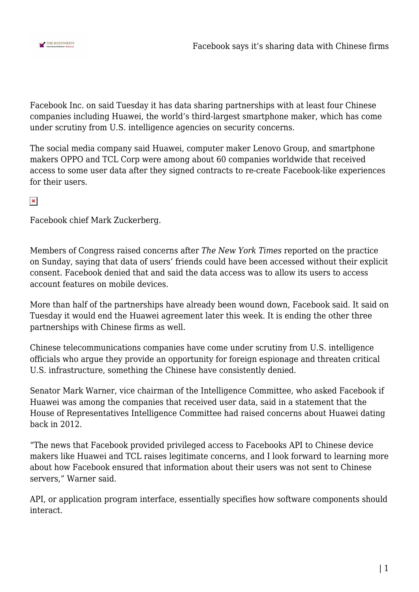

Facebook Inc. on said Tuesday it has data sharing partnerships with at least four Chinese companies including Huawei, the world's third-largest smartphone maker, which has come under scrutiny from U.S. intelligence agencies on security concerns.

The social media company said Huawei, computer maker Lenovo Group, and smartphone makers OPPO and TCL Corp were among about 60 companies worldwide that received access to some user data after they signed contracts to re-create Facebook-like experiences for their users.

 $\pmb{\times}$ 

Facebook chief Mark Zuckerberg.

Members of Congress raised concerns after *The New York Times* reported on the practice on Sunday, saying that data of users' friends could have been accessed without their explicit consent. Facebook denied that and said the data access was to allow its users to access account features on mobile devices.

More than half of the partnerships have already been wound down, Facebook said. It said on Tuesday it would end the Huawei agreement later this week. It is ending the other three partnerships with Chinese firms as well.

Chinese telecommunications companies have come under scrutiny from U.S. intelligence officials who argue they provide an opportunity for foreign espionage and threaten critical U.S. infrastructure, something the Chinese have consistently denied.

Senator Mark Warner, vice chairman of the Intelligence Committee, who asked Facebook if Huawei was among the companies that received user data, said in a statement that the House of Representatives Intelligence Committee had raised concerns about Huawei dating back in 2012.

"The news that Facebook provided privileged access to Facebooks API to Chinese device makers like Huawei and TCL raises legitimate concerns, and I look forward to learning more about how Facebook ensured that information about their users was not sent to Chinese servers," Warner said.

API, or application program interface, essentially specifies how software components should interact.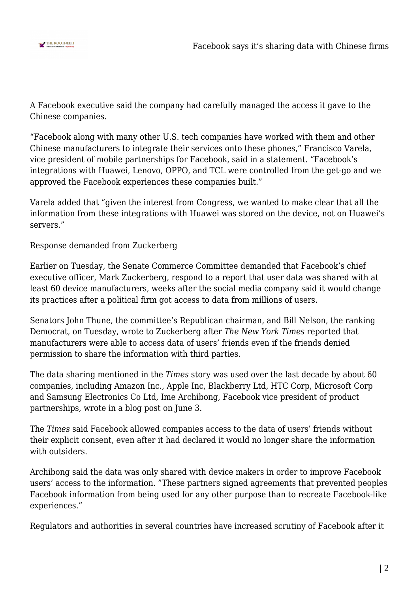

A Facebook executive said the company had carefully managed the access it gave to the Chinese companies.

"Facebook along with many other U.S. tech companies have worked with them and other Chinese manufacturers to integrate their services onto these phones," Francisco Varela, vice president of mobile partnerships for Facebook, said in a statement. "Facebook's integrations with Huawei, Lenovo, OPPO, and TCL were controlled from the get-go and we approved the Facebook experiences these companies built."

Varela added that "given the interest from Congress, we wanted to make clear that all the information from these integrations with Huawei was stored on the device, not on Huawei's servers."

Response demanded from Zuckerberg

Earlier on Tuesday, the Senate Commerce Committee demanded that Facebook's chief executive officer, Mark Zuckerberg, respond to a report that user data was shared with at least 60 device manufacturers, weeks after the social media company said it would change its practices after a political firm got access to data from millions of users.

Senators John Thune, the committee's Republican chairman, and Bill Nelson, the ranking Democrat, on Tuesday, wrote to Zuckerberg after *The New York Times* reported that manufacturers were able to access data of users' friends even if the friends denied permission to share the information with third parties.

The data sharing mentioned in the *Times* story was used over the last decade by about 60 companies, including Amazon Inc., Apple Inc, Blackberry Ltd, HTC Corp, Microsoft Corp and Samsung Electronics Co Ltd, Ime Archibong, Facebook vice president of product partnerships, wrote in a blog post on June 3.

The *Times* said Facebook allowed companies access to the data of users' friends without their explicit consent, even after it had declared it would no longer share the information with outsiders.

Archibong said the data was only shared with device makers in order to improve Facebook users' access to the information. "These partners signed agreements that prevented peoples Facebook information from being used for any other purpose than to recreate Facebook-like experiences."

Regulators and authorities in several countries have increased scrutiny of Facebook after it